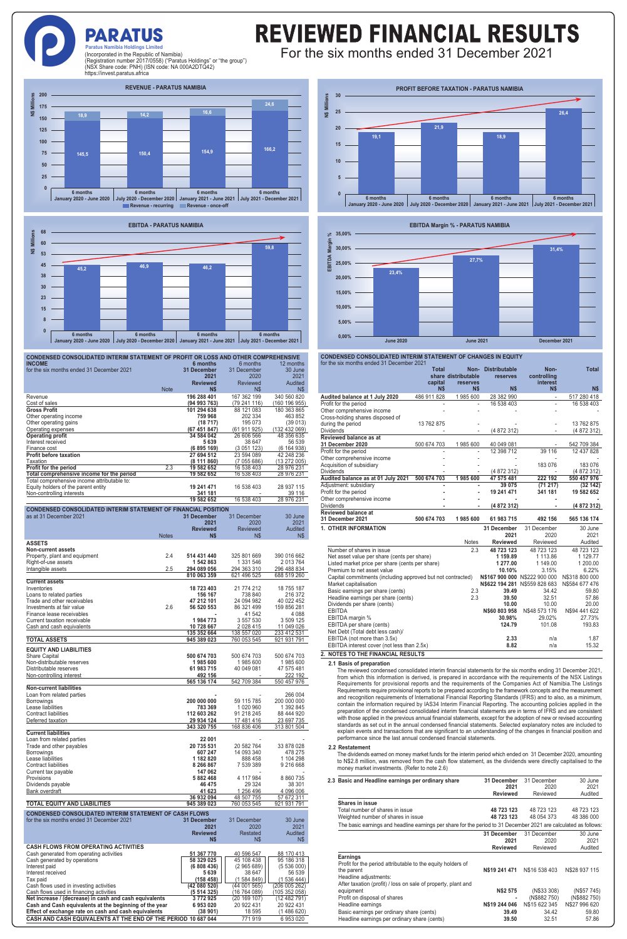### **PARATUS Paratus Namibia Holdings Limited**

## REVIEWED FINANCIAL RESULTS For the six months ended 31 December 2021

(Incorporated in the Republic of Namibia) (Registration number 2017/0558) ("Paratus Holdings" or "the group") (NSX Share code: PNH) (ISN code: NA 000A2DTQ42) https://invest.paratus.africa

**REVENUE - PARATUS NAMIBIA 200 g N\$ Millions 24,6 175 16,6** N\$ **14,2 18,9 150 125 100 166,2 154,9 150,4 75 145,5 50 25 <sup>0</sup> 6 months 6 months 6 months 6 months January 2020 - June 2020 July 2020 - December 2020 January 2021 - June 2021 July 2021 - December 2021 Revenue - recurring Revenue - once-off** 



| CONDENSED CONSOLIDATED INTERIM STATEMENT OF PROFIT OR LOSS AND OTHER COMPREHENSIVE                             |                                |                            |                             |  |
|----------------------------------------------------------------------------------------------------------------|--------------------------------|----------------------------|-----------------------------|--|
| <b>INCOME</b><br>for the six months ended 31 December 2021                                                     | 6 months<br><b>31 December</b> | 6 months<br>31 December    | 12 months<br>30 June        |  |
|                                                                                                                | 2021                           | 2020                       | 2021                        |  |
| <b>Note</b>                                                                                                    | <b>Reviewed</b><br>N\$         | <b>Reviewed</b><br>N\$     | Audited<br>N\$              |  |
| Revenue                                                                                                        | 196 288 401                    | 167 362 199                | 340 560 820                 |  |
| Cost of sales                                                                                                  | (94993763)                     | (79241116)                 | (16019695)                  |  |
| <b>Gross Profit</b>                                                                                            | 101 294 638                    | 88 121 083                 | 180 363 865                 |  |
| Other operating income<br>Other operating gains                                                                | 759 968<br>(18717)             | 202 334<br>195 073         | 463 852<br>(39013)          |  |
| Operating expenses                                                                                             | (67 451 847)                   | (61 911 925)               | (132 432 069)               |  |
| <b>Operating profit</b><br>Interest received                                                                   | 34 584 042                     | 26 606 566                 | 48 356 635<br>56 539        |  |
| Finance cost                                                                                                   | 5 639<br>(6 895 169)           | 38 647<br>(3051123)        | (6 164 938)                 |  |
| <b>Profit before taxation</b>                                                                                  | 27 694 512                     | 23 594 089                 | 42 248 236                  |  |
| Taxation<br>Profit for the period<br>2.3                                                                       | (8111860)<br>19 582 652        | (7055686)<br>16 538 403    | (13 272 005)<br>28 976 231  |  |
| Total comprehensive income for the period                                                                      | 19 582 652                     | 16 538 403                 | 28 976 231                  |  |
| Total comprehensive income attributable to:                                                                    |                                |                            |                             |  |
| Equity holders of the parent entity<br>Non-controlling interests                                               | 19 241 471<br>341 181          | 16 538 403                 | 28 937 115<br>39 116        |  |
|                                                                                                                | 19 582 652                     | 16 538 403                 | 28 976 231                  |  |
| <b>CONDENSED CONSOLIDATED INTERIM STATEMENT OF FINANCIAL POSITION</b>                                          |                                |                            |                             |  |
| as at 31 December 2021                                                                                         | 31 December                    | 31 December                | 30 June                     |  |
|                                                                                                                | 2021<br><b>Reviewed</b>        | 2020<br><b>Reviewed</b>    | 2021<br>Audited             |  |
| <b>Notes</b>                                                                                                   | N\$                            | N\$                        | N\$                         |  |
| <b>ASSETS</b>                                                                                                  |                                |                            |                             |  |
| <b>Non-current assets</b><br>2.4                                                                               | 514 431 440                    | 325 801 669                | 390 016 662                 |  |
| Property, plant and equipment<br>Right-of-use assets                                                           | 1 542 863                      | 1 331 546                  | 2013764                     |  |
| Intangible assets<br>2.5                                                                                       | 294 089 056                    | 294 363 310                | 296 488 834                 |  |
| <b>Current assets</b>                                                                                          | 810 063 359                    | 621 496 525                | 688 519 260                 |  |
| Inventories                                                                                                    | 18 723 403                     | 21 774 212                 | 18 755 187                  |  |
| Loans to related parties                                                                                       | 156 167                        | 738 840                    | 216 372                     |  |
| Trade and other receivables<br>Investments at fair value<br>2.6                                                | 47 212 101<br>56 520 553       | 24 094 982<br>86 321 499   | 40 022 452<br>159 856 281   |  |
| Finance lease receivables                                                                                      |                                | 41 542                     | 4088                        |  |
| Current taxation receivable                                                                                    | 1984773                        | 3 557 530                  | 3 509 125                   |  |
| Cash and cash equivalents                                                                                      | 10 728 667                     | 2 0 28 4 15                | 11 049 026                  |  |
|                                                                                                                |                                |                            |                             |  |
| <b>TOTAL ASSETS</b>                                                                                            | 135 352 664<br>945 389 023     | 138 557 020<br>760 053 545 | 233 412 531<br>921 931 791  |  |
| <b>EQUITY AND LIABILITIES</b>                                                                                  |                                |                            |                             |  |
| Share Capital                                                                                                  | 500 674 703                    | 500 674 703                | 500 674 703                 |  |
| Non-distributable reserves                                                                                     | 1985600                        | 1985600                    | 1985 600                    |  |
| Distributable reserves<br>Non-controlling interest                                                             | 61 983 715<br>492 156          | 40 049 081                 | 47 575 481<br>222 192       |  |
|                                                                                                                | 565 136 174                    | 542 709 384                | 550 457 976                 |  |
| <b>Non-current liabilities</b><br>Loan from related parties                                                    |                                |                            | 266 004                     |  |
| Borrowings                                                                                                     | 200 000 000                    | 59 115 785                 | 200 000 000                 |  |
| Lease liabilities                                                                                              | 783 369                        | 1 020 960                  | 1 392 845                   |  |
| <b>Contract liabilities</b><br>Deferred taxation                                                               | 112 603 262<br>29 934 124      | 91 218 245<br>17 481 416   | 88 444 920<br>23 697 735    |  |
|                                                                                                                | 343 320 755                    | 168 836 406                | 313 801 504                 |  |
| <b>Current liabilities</b>                                                                                     |                                |                            |                             |  |
| Loan from related parties<br>Trade and other payables                                                          | 22 001<br>20 735 531           | 20 582 764                 | 33 878 028                  |  |
| Borrowings                                                                                                     | 607 247                        | 14 093 340                 | 478 275                     |  |
| Lease liabilities<br>Contract liabilities                                                                      | 1 182 820<br>8 266 867         | 888 458<br>7 539 389       | 1 104 298<br>9 216 668      |  |
| Current tax payable                                                                                            | 147 062                        |                            |                             |  |
| Provisions                                                                                                     | 5 882 468                      | 4 117 984                  | 8 860 735                   |  |
| Dividends payable<br>Bank overdraft                                                                            | 46 475<br>41 623               | 29 324<br>1 256 496        | 38 301<br>4 096 006         |  |
|                                                                                                                | 36 932 094                     | 48 507 755                 | 57 672 311                  |  |
| TOTAL EQUITY AND LIABILITIES                                                                                   | 945 389 023                    | 760 053 545                | 921 931 791                 |  |
| <b>CONDENSED CONSOLIDATED INTERIM STATEMENT OF CASH FLOWS</b>                                                  |                                |                            |                             |  |
| for the six months ended 31 December 2021                                                                      | 31 December<br>2021            | 31 December<br>2020        | 30 June<br>2021             |  |
|                                                                                                                | <b>Reviewed</b>                | Restated                   | Audited                     |  |
|                                                                                                                | N\$                            | N\$                        | N\$                         |  |
| <b>CASH FLOWS FROM OPERATING ACTIVITIES</b><br>Cash generated from operating activities                        | 51 367 770                     | 40 596 547                 | 88 170 413                  |  |
| Cash generated by operations                                                                                   | 58 329 025                     | 45 108 438                 | 95 186 318                  |  |
| Interest paid<br>Interest received                                                                             | (6 808 436)<br>5 639           | (2965689)<br>38 647        | (5536000)<br>56 539         |  |
| Tax paid                                                                                                       | (158458)                       | (1584849)                  | (1 536 444)                 |  |
| Cash flows used in investing activities                                                                        | (42 080 520)                   | (44001565)                 | (206 005 262)               |  |
| Cash flows used in financing activities<br>Net increase / (decrease) in cash and cash equivalents              | (5 514 325)<br>3772925         | (16 764 089)<br>(20169107) | (105352058)<br>(12 482 791) |  |
| Cash and Cash equivalents at the beginning of the year<br>Effect of exchange rate on cash and cash equivalents | 6 953 020<br>(38901)           | 20 922 431<br>18 5 95      | 20 922 431<br>(1486620)     |  |

**CASH AND CASH EQUIVALENTS AT THE END OF THE PERIOD 10 687 044** 771 919 6 953 020





| CONDENSED CONSOLIDATED INTERIM STATEMENT OF CHANGES IN EQUITY<br>for the six months ended 31 December 2021 |                         |                                         |                                  |                                 |                           |
|------------------------------------------------------------------------------------------------------------|-------------------------|-----------------------------------------|----------------------------------|---------------------------------|---------------------------|
|                                                                                                            | <b>Total</b><br>capital | Non-<br>share distributable<br>reserves | <b>Distributable</b><br>reserves | Non-<br>controlling<br>interest | <b>Total</b>              |
|                                                                                                            | N\$                     | N\$                                     | N\$                              | N\$                             | N\$                       |
| Audited balance at 1 July 2020                                                                             | 486 911 828             | 1985 600                                | 28 382 990<br>16 538 403         |                                 | 517 280 418<br>16 538 403 |
| Profit for the period<br>Other comprehensive income                                                        |                         |                                         |                                  |                                 |                           |
| Cross-holding shares disposed of                                                                           |                         |                                         |                                  |                                 |                           |
| during the period                                                                                          | 13 762 875              |                                         |                                  |                                 | 13 762 875                |
| <b>Dividends</b>                                                                                           |                         |                                         | (4 872 312)                      |                                 | (4 872 312)               |
| Reviewed balance as at                                                                                     |                         |                                         |                                  |                                 |                           |
| 31 December 2020                                                                                           | 500 674 703             | 1985 600                                | 40 049 081                       |                                 | 542 709 384               |
| Profit for the period                                                                                      |                         |                                         | 12 398 712                       | 39 116                          | 12 437 828                |
| Other comprehensive income                                                                                 |                         |                                         |                                  |                                 |                           |
| Acquisition of subsidiary                                                                                  |                         |                                         |                                  | 183 076                         | 183 076                   |
| <b>Dividends</b>                                                                                           |                         |                                         | (4 872 312)                      |                                 | (4 872 312)               |
| Audited balance as at 01 July 2021                                                                         | 500 674 703             | 1985600                                 | 47 575 481                       | 222 192                         | 550 457 976               |
| Adjustment: subsidiary                                                                                     |                         |                                         | 39 075                           | (71217)                         | (32142)                   |
| Profit for the period                                                                                      |                         |                                         | 19 241 471                       | 341 181                         | 19 582 652                |
| Other comprehensive income                                                                                 |                         |                                         |                                  |                                 |                           |
| <b>Dividends</b>                                                                                           |                         |                                         | (4 872 312)                      |                                 | (4 872 312)               |
| Reviewed balance at                                                                                        |                         |                                         |                                  |                                 |                           |
| 31 December 2021                                                                                           | 500 674 703             | 1985 600                                | 61 983 715                       | 492 156                         | 565 136 174               |
| <b>1. OTHER INFORMATION</b>                                                                                |                         |                                         | 31 December                      | 31 December                     | 30 June                   |
|                                                                                                            |                         |                                         | 2021                             | 2020                            | 2021                      |
|                                                                                                            |                         | <b>Notes</b>                            | <b>Reviewed</b>                  | Reviewed                        | Audited                   |
| Number of shares in issue                                                                                  |                         | 2.3                                     | 48 723 123                       | 48 723 123                      | 48 723 123                |
| Net asset value per share (cents per share)                                                                |                         |                                         | 1 159.89                         | 1 113.86                        | 1 129.77                  |
| Listed market price per share (cents per share)                                                            |                         |                                         | 1 277.00                         | 1 149.00                        | 1 200.00                  |
| Premium to net asset value<br>10.10%<br>3.15%                                                              |                         |                                         |                                  | 6.22%                           |                           |
| Capital commitments (including approved but not contracted)                                                |                         |                                         |                                  | N\$167 900 000 N\$222 900 000   | N\$318 800 000            |
| Market capitalisation                                                                                      |                         |                                         |                                  | N\$622 194 281 N\$559 828 683   | N\$584 677 476            |
| Basic earnings per share (cents)                                                                           |                         | 2.3                                     | 39.49                            | 34.42                           | 59.80                     |
| Headline earnings per share (cents)                                                                        |                         | 2.3                                     | 39.50                            | 32.51                           | 57.86                     |
| Dividends per share (cents)                                                                                |                         |                                         | 10.00                            | 10.00                           | 20.00                     |
| <b>EBITDA</b>                                                                                              |                         |                                         | N\$60 803 958                    | N\$48 573 176                   | N\$94 441 622             |
| EBITDA margin %                                                                                            |                         |                                         | 30.98%                           | 29.02%                          | 27.73%                    |
| EBITDA per share (cents)                                                                                   |                         |                                         | 124.79                           | 101.08                          | 193.83                    |
| Net Debt (Total debt less cash)/                                                                           |                         |                                         |                                  |                                 |                           |
| EBITDA (not more than 3.5x)                                                                                |                         |                                         | 2.33                             | n/a                             | 1.87                      |
| EBITDA interest cover (not less than 2.5x)                                                                 |                         |                                         | 8.82                             | n/a                             | 15.32                     |
| 2. NOTES TO THE FINANCIAL RESULTS                                                                          |                         |                                         |                                  |                                 |                           |

**2.1 Basis of preparation**

The reviewed condensed consolidated interim financial statements for the six months ending 31 December 2021, from which this information is derived, is prepared in accordance with the requirements of the NSX Listings Requirements for provisional reports and the requirements of the Companies Act of Namibia.The Listings Requirements require provisional reports to be prepared according to the framework concepts and the measurement and recognition requirements of International Financial Reporting Standards (IFRS) and to also, as a minimum, contain the information required by IAS34 Interim Financial Reporting. The accounting policies applied in the preparation of the condensed consolidated interim financial statements are in terms of IFRS and are consistent with those applied in the previous annual financial statements, except for the adoption of new or revised accounting standards as set out in the annual condensed financial statements. Selected explanatory notes are included to explain events and transactions that are significant to an understanding of the changes in financial position and performance since the last annual condensed financial statements.

**2.2 Restatement**

The dividends earned on money market funds for the interim period which ended on 31 December 2020, amounting to N\$2.8 million, was removed from the cash flow statement, as the dividends were directly capitalised to the money market investments. (Refer to note 2.6)

|  | 2.3 Basic and Headline earnings per ordinary share                                                                                                                                                                           | 31 December<br>2021<br><b>Reviewed</b>             | 31 December<br>2020<br>Reviewed                                | 30 June<br>2021<br>Audited                                    |
|--|------------------------------------------------------------------------------------------------------------------------------------------------------------------------------------------------------------------------------|----------------------------------------------------|----------------------------------------------------------------|---------------------------------------------------------------|
|  | <b>Shares in issue</b>                                                                                                                                                                                                       |                                                    |                                                                |                                                               |
|  | Total number of shares in issue                                                                                                                                                                                              | 48 723 123                                         | 48 723 123                                                     | 48 723 123                                                    |
|  | Weighted number of shares in issue                                                                                                                                                                                           | 48 723 123                                         | 48 054 373                                                     | 48 386 000                                                    |
|  | The basic earnings and headline earnings per share for the period to 31 December 2021 are calculated as follows:                                                                                                             |                                                    |                                                                |                                                               |
|  |                                                                                                                                                                                                                              | 31 December                                        | 31 December                                                    | 30 June                                                       |
|  |                                                                                                                                                                                                                              | 2021                                               | 2020                                                           | 2021                                                          |
|  |                                                                                                                                                                                                                              | <b>Reviewed</b>                                    | Reviewed                                                       | Audited                                                       |
|  | <b>Earnings</b><br>Profit for the period attributable to the equity holders of<br>the parent<br>Headline adjustments:                                                                                                        | N\$19 241 471                                      | N\$16 538 403                                                  | N\$28 937 115                                                 |
|  | After taxation (profit) / loss on sale of property, plant and<br>equipment<br>Profit on disposal of shares<br>Headline earnings<br>Basic earnings per ordinary share (cents)<br>Headline earnings per ordinary share (cents) | <b>N\$2 575</b><br>N\$19 244 046<br>39.49<br>39.50 | (N\$33 308)<br>(N\$882 750)<br>N\$15 622 345<br>34.42<br>32.51 | (N\$57 745)<br>(N\$882750)<br>N\$27 996 620<br>59.80<br>57.86 |